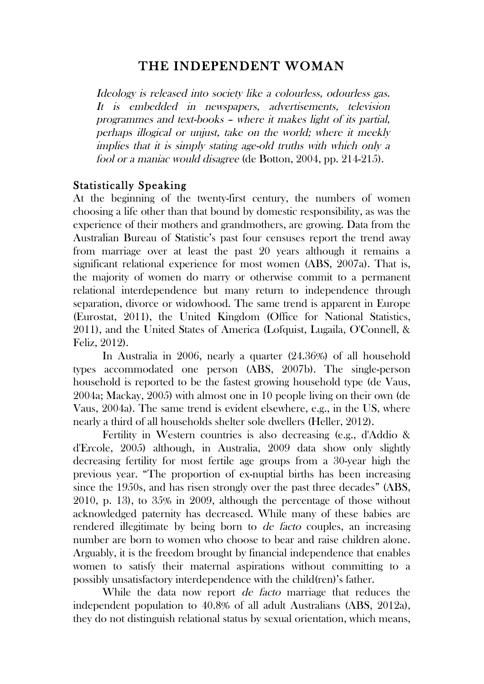# THE INDEPENDENT WOMAN

Ideology is released into society like a colourless, odourless gas. It is embedded in newspapers, advertisements, television programmes and text-books – where it makes light of its partial, perhaps illogical or unjust, take on the world; where it meekly implies that it is simply stating age-old truths with which only a fool or a maniac would disagree (de Botton, 2004, pp. 214-215).

#### Statistically Speaking

At the beginning of the twenty-first century, the numbers of women choosing a life other than that bound by domestic responsibility, as was the experience of their mothers and grandmothers, are growing. Data from the Australian Bureau of Statistic's past four censuses report the trend away from marriage over at least the past 20 years although it remains a significant relational experience for most women (ABS, 2007a). That is, the majority of women do marry or otherwise commit to a permanent relational interdependence but many return to independence through separation, divorce or widowhood. The same trend is apparent in Europe (Eurostat, 2011), the United Kingdom (Office for National Statistics, 2011), and the United States of America (Lofquist, Lugaila, O'Connell, & Feliz, 2012).

In Australia in 2006, nearly a quarter (24.36%) of all household types accommodated one person (ABS, 2007b). The single-person household is reported to be the fastest growing household type (de Vaus, 2004a; Mackay, 2005) with almost one in 10 people living on their own (de Vaus, 2004a). The same trend is evident elsewhere, e.g., in the US, where nearly a third of all households shelter sole dwellers (Heller, 2012).

Fertility in Western countries is also decreasing (e.g., d'Addio & d'Ercole, 2005) although, in Australia, 2009 data show only slightly decreasing fertility for most fertile age groups from a 30-year high the previous year. "The proportion of ex-nuptial births has been increasing since the 1950s, and has risen strongly over the past three decades" (ABS, 2010, p. 13), to 35% in 2009, although the percentage of those without acknowledged paternity has decreased. While many of these babies are rendered illegitimate by being born to *de facto* couples, an increasing number are born to women who choose to bear and raise children alone. Arguably, it is the freedom brought by financial independence that enables women to satisfy their maternal aspirations without committing to a possibly unsatisfactory interdependence with the child(ren)'s father.

While the data now report *de facto* marriage that reduces the independent population to 40.8% of all adult Australians (ABS, 2012a), they do not distinguish relational status by sexual orientation, which means,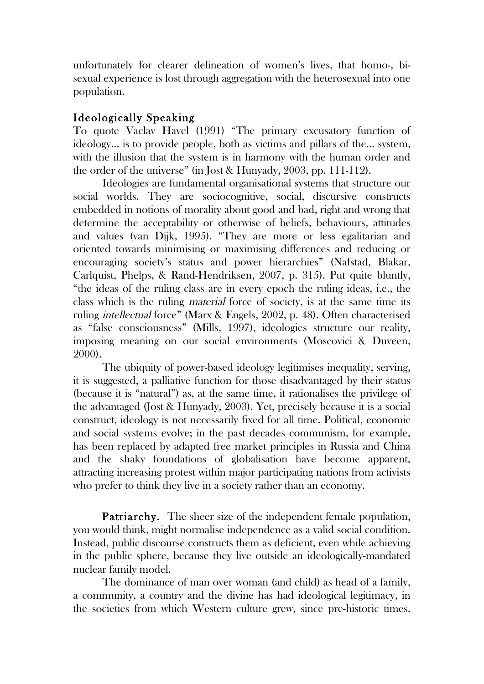unfortunately for clearer delineation of women's lives, that homo-, bisexual experience is lost through aggregation with the heterosexual into one population.

## Ideologically Speaking

To quote Vaclav Havel (1991) "The primary excusatory function of ideology… is to provide people, both as victims and pillars of the… system, with the illusion that the system is in harmony with the human order and the order of the universe" (in Jost & Hunyady, 2003, pp. 111-112).

Ideologies are fundamental organisational systems that structure our social worlds. They are sociocognitive, social, discursive constructs embedded in notions of morality about good and bad, right and wrong that determine the acceptability or otherwise of beliefs, behaviours, attitudes and values (van Dijk, 1995). "They are more or less egalitarian and oriented towards minimising or maximising differences and reducing or encouraging society's status and power hierarchies" (Nafstad, Blakar, Carlquist, Phelps, & Rand-Hendriksen, 2007, p. 315). Put quite bluntly, "the ideas of the ruling class are in every epoch the ruling ideas, i.e., the class which is the ruling material force of society, is at the same time its ruling intellectual force" (Marx & Engels, 2002, p. 48). Often characterised as "false consciousness" (Mills, 1997), ideologies structure our reality, imposing meaning on our social environments (Moscovici & Duveen, 2000).

The ubiquity of power-based ideology legitimises inequality, serving, it is suggested, a palliative function for those disadvantaged by their status (because it is "natural") as, at the same time, it rationalises the privilege of the advantaged (Jost & Hunyady, 2003). Yet, precisely because it is a social construct, ideology is not necessarily fixed for all time. Political, economic and social systems evolve; in the past decades communism, for example, has been replaced by adapted free market principles in Russia and China and the shaky foundations of globalisation have become apparent, attracting increasing protest within major participating nations from activists who prefer to think they live in a society rather than an economy.

Patriarchy. The sheer size of the independent female population, you would think, might normalise independence as a valid social condition. Instead, public discourse constructs them as deficient, even while achieving in the public sphere, because they live outside an ideologically-mandated nuclear family model.

The dominance of man over woman (and child) as head of a family, a community, a country and the divine has had ideological legitimacy, in the societies from which Western culture grew, since pre-historic times.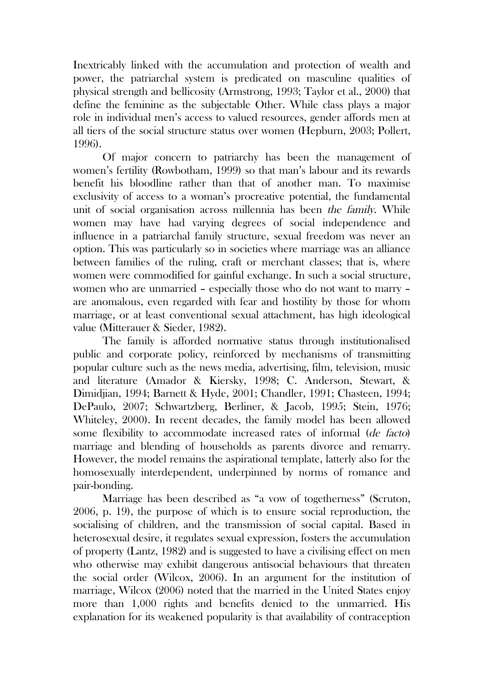Inextricably linked with the accumulation and protection of wealth and power, the patriarchal system is predicated on masculine qualities of physical strength and bellicosity (Armstrong, 1993; Taylor et al., 2000) that define the feminine as the subjectable Other. While class plays a major role in individual men's access to valued resources, gender affords men at all tiers of the social structure status over women (Hepburn, 2003; Pollert, 1996).

Of major concern to patriarchy has been the management of women's fertility (Rowbotham, 1999) so that man's labour and its rewards benefit his bloodline rather than that of another man. To maximise exclusivity of access to a woman's procreative potential, the fundamental unit of social organisation across millennia has been the family. While women may have had varying degrees of social independence and influence in a patriarchal family structure, sexual freedom was never an option. This was particularly so in societies where marriage was an alliance between families of the ruling, craft or merchant classes; that is, where women were commodified for gainful exchange. In such a social structure, women who are unmarried – especially those who do not want to marry – are anomalous, even regarded with fear and hostility by those for whom marriage, or at least conventional sexual attachment, has high ideological value (Mitterauer & Sieder, 1982).

The family is afforded normative status through institutionalised public and corporate policy, reinforced by mechanisms of transmitting popular culture such as the news media, advertising, film, television, music and literature (Amador & Kiersky, 1998; C. Anderson, Stewart, & Dimidjian, 1994; Barnett & Hyde, 2001; Chandler, 1991; Chasteen, 1994; DePaulo, 2007; Schwartzberg, Berliner, & Jacob, 1995; Stein, 1976; Whiteley, 2000). In recent decades, the family model has been allowed some flexibility to accommodate increased rates of informal (de facto) marriage and blending of households as parents divorce and remarry. However, the model remains the aspirational template, latterly also for the homosexually interdependent, underpinned by norms of romance and pair-bonding.

Marriage has been described as "a vow of togetherness" (Scruton, 2006, p. 19), the purpose of which is to ensure social reproduction, the socialising of children, and the transmission of social capital. Based in heterosexual desire, it regulates sexual expression, fosters the accumulation of property (Lantz, 1982) and is suggested to have a civilising effect on men who otherwise may exhibit dangerous antisocial behaviours that threaten the social order (Wilcox, 2006). In an argument for the institution of marriage, Wilcox (2006) noted that the married in the United States enjoy more than 1,000 rights and benefits denied to the unmarried. His explanation for its weakened popularity is that availability of contraception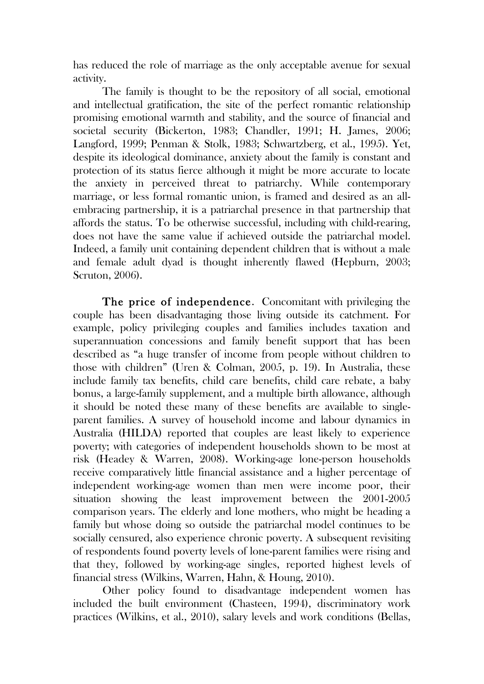has reduced the role of marriage as the only acceptable avenue for sexual activity.

The family is thought to be the repository of all social, emotional and intellectual gratification, the site of the perfect romantic relationship promising emotional warmth and stability, and the source of financial and societal security (Bickerton, 1983; Chandler, 1991; H. James, 2006; Langford, 1999; Penman & Stolk, 1983; Schwartzberg, et al., 1995). Yet, despite its ideological dominance, anxiety about the family is constant and protection of its status fierce although it might be more accurate to locate the anxiety in perceived threat to patriarchy. While contemporary marriage, or less formal romantic union, is framed and desired as an allembracing partnership, it is a patriarchal presence in that partnership that affords the status. To be otherwise successful, including with child-rearing, does not have the same value if achieved outside the patriarchal model. Indeed, a family unit containing dependent children that is without a male and female adult dyad is thought inherently flawed (Hepburn, 2003; Scruton, 2006).

The price of independence. Concomitant with privileging the couple has been disadvantaging those living outside its catchment. For example, policy privileging couples and families includes taxation and superannuation concessions and family benefit support that has been described as "a huge transfer of income from people without children to those with children" (Uren & Colman, 2005, p. 19). In Australia, these include family tax benefits, child care benefits, child care rebate, a baby bonus, a large-family supplement, and a multiple birth allowance, although it should be noted these many of these benefits are available to singleparent families. A survey of household income and labour dynamics in Australia (HILDA) reported that couples are least likely to experience poverty; with categories of independent households shown to be most at risk (Headey & Warren, 2008). Working-age lone-person households receive comparatively little financial assistance and a higher percentage of independent working-age women than men were income poor, their situation showing the least improvement between the 2001-2005 comparison years. The elderly and lone mothers, who might be heading a family but whose doing so outside the patriarchal model continues to be socially censured, also experience chronic poverty. A subsequent revisiting of respondents found poverty levels of lone-parent families were rising and that they, followed by working-age singles, reported highest levels of financial stress (Wilkins, Warren, Hahn, & Houng, 2010).

Other policy found to disadvantage independent women has included the built environment (Chasteen, 1994), discriminatory work practices (Wilkins, et al., 2010), salary levels and work conditions (Bellas,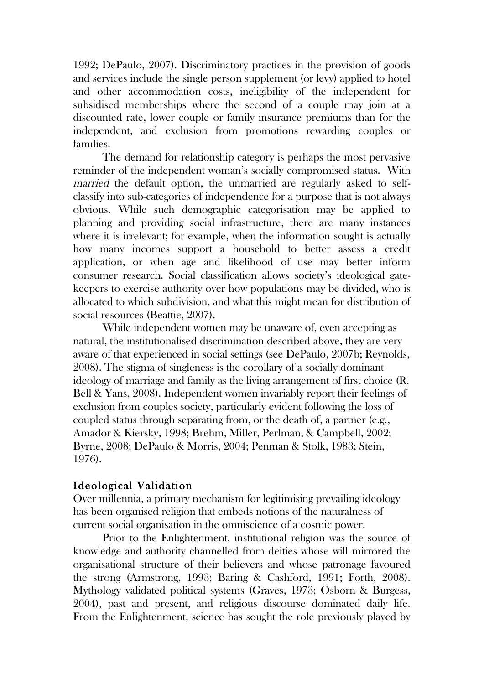1992; DePaulo, 2007). Discriminatory practices in the provision of goods and services include the single person supplement (or levy) applied to hotel and other accommodation costs, ineligibility of the independent for subsidised memberships where the second of a couple may join at a discounted rate, lower couple or family insurance premiums than for the independent, and exclusion from promotions rewarding couples or families.

The demand for relationship category is perhaps the most pervasive reminder of the independent woman's socially compromised status. With married the default option, the unmarried are regularly asked to selfclassify into sub-categories of independence for a purpose that is not always obvious. While such demographic categorisation may be applied to planning and providing social infrastructure, there are many instances where it is irrelevant; for example, when the information sought is actually how many incomes support a household to better assess a credit application, or when age and likelihood of use may better inform consumer research. Social classification allows society's ideological gatekeepers to exercise authority over how populations may be divided, who is allocated to which subdivision, and what this might mean for distribution of social resources (Beattie, 2007).

While independent women may be unaware of, even accepting as natural, the institutionalised discrimination described above, they are very aware of that experienced in social settings (see DePaulo, 2007b; Reynolds, 2008). The stigma of singleness is the corollary of a socially dominant ideology of marriage and family as the living arrangement of first choice (R. Bell & Yans, 2008). Independent women invariably report their feelings of exclusion from couples society, particularly evident following the loss of coupled status through separating from, or the death of, a partner (e.g., Amador & Kiersky, 1998; Brehm, Miller, Perlman, & Campbell, 2002; Byrne, 2008; DePaulo & Morris, 2004; Penman & Stolk, 1983; Stein, 1976).

## Ideological Validation

Over millennia, a primary mechanism for legitimising prevailing ideology has been organised religion that embeds notions of the naturalness of current social organisation in the omniscience of a cosmic power.

Prior to the Enlightenment, institutional religion was the source of knowledge and authority channelled from deities whose will mirrored the organisational structure of their believers and whose patronage favoured the strong (Armstrong, 1993; Baring & Cashford, 1991; Forth, 2008). Mythology validated political systems (Graves, 1973; Osborn & Burgess, 2004), past and present, and religious discourse dominated daily life. From the Enlightenment, science has sought the role previously played by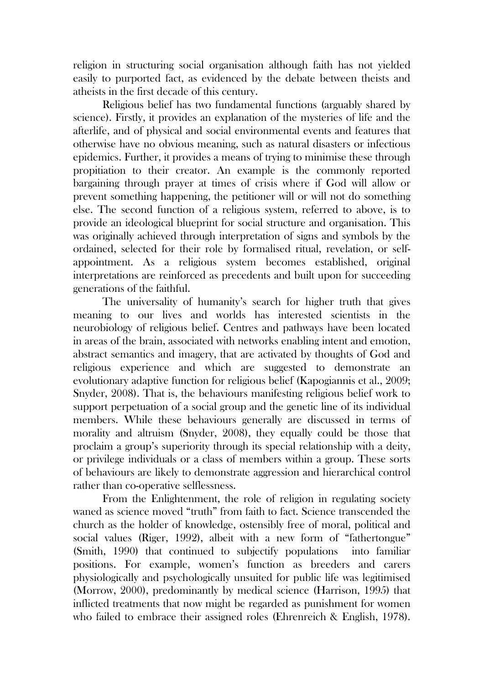religion in structuring social organisation although faith has not yielded easily to purported fact, as evidenced by the debate between theists and atheists in the first decade of this century.

Religious belief has two fundamental functions (arguably shared by science). Firstly, it provides an explanation of the mysteries of life and the afterlife, and of physical and social environmental events and features that otherwise have no obvious meaning, such as natural disasters or infectious epidemics. Further, it provides a means of trying to minimise these through propitiation to their creator. An example is the commonly reported bargaining through prayer at times of crisis where if God will allow or prevent something happening, the petitioner will or will not do something else. The second function of a religious system, referred to above, is to provide an ideological blueprint for social structure and organisation. This was originally achieved through interpretation of signs and symbols by the ordained, selected for their role by formalised ritual, revelation, or selfappointment. As a religious system becomes established, original interpretations are reinforced as precedents and built upon for succeeding generations of the faithful.

The universality of humanity's search for higher truth that gives meaning to our lives and worlds has interested scientists in the neurobiology of religious belief. Centres and pathways have been located in areas of the brain, associated with networks enabling intent and emotion, abstract semantics and imagery, that are activated by thoughts of God and religious experience and which are suggested to demonstrate an evolutionary adaptive function for religious belief (Kapogiannis et al., 2009; Snyder, 2008). That is, the behaviours manifesting religious belief work to support perpetuation of a social group and the genetic line of its individual members. While these behaviours generally are discussed in terms of morality and altruism (Snyder, 2008), they equally could be those that proclaim a group's superiority through its special relationship with a deity, or privilege individuals or a class of members within a group. These sorts of behaviours are likely to demonstrate aggression and hierarchical control rather than co-operative selflessness.

From the Enlightenment, the role of religion in regulating society waned as science moved "truth" from faith to fact. Science transcended the church as the holder of knowledge, ostensibly free of moral, political and social values (Riger, 1992), albeit with a new form of "fathertongue" (Smith, 1990) that continued to subjectify populations into familiar positions. For example, women's function as breeders and carers physiologically and psychologically unsuited for public life was legitimised (Morrow, 2000), predominantly by medical science (Harrison, 1995) that inflicted treatments that now might be regarded as punishment for women who failed to embrace their assigned roles (Ehrenreich & English, 1978).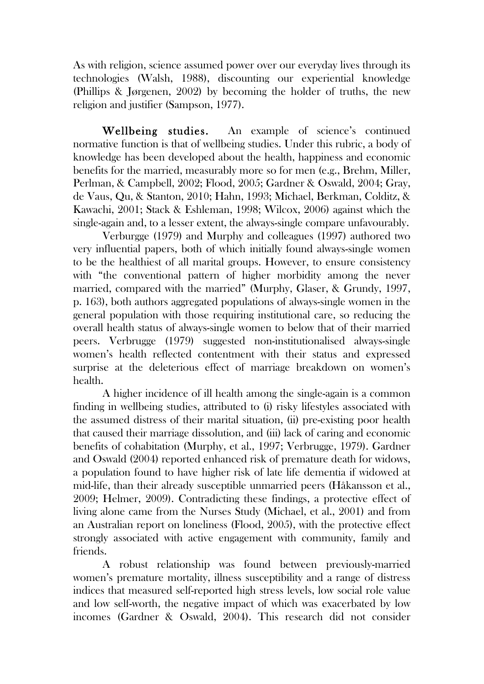As with religion, science assumed power over our everyday lives through its technologies (Walsh, 1988), discounting our experiential knowledge (Phillips & Jørgenen, 2002) by becoming the holder of truths, the new religion and justifier (Sampson, 1977).

Wellbeing studies. An example of science's continued normative function is that of wellbeing studies. Under this rubric, a body of knowledge has been developed about the health, happiness and economic benefits for the married, measurably more so for men (e.g., Brehm, Miller, Perlman, & Campbell, 2002; Flood, 2005; Gardner & Oswald, 2004; Gray, de Vaus, Qu, & Stanton, 2010; Hahn, 1993; Michael, Berkman, Colditz, & Kawachi, 2001; Stack & Eshleman, 1998; Wilcox, 2006) against which the single-again and, to a lesser extent, the always-single compare unfavourably.

Verburgge (1979) and Murphy and colleagues (1997) authored two very influential papers, both of which initially found always-single women to be the healthiest of all marital groups. However, to ensure consistency with "the conventional pattern of higher morbidity among the never married, compared with the married" (Murphy, Glaser, & Grundy, 1997, p. 163), both authors aggregated populations of always-single women in the general population with those requiring institutional care, so reducing the overall health status of always-single women to below that of their married peers. Verbrugge (1979) suggested non-institutionalised always-single women's health reflected contentment with their status and expressed surprise at the deleterious effect of marriage breakdown on women's health.

A higher incidence of ill health among the single-again is a common finding in wellbeing studies, attributed to (i) risky lifestyles associated with the assumed distress of their marital situation, (ii) pre-existing poor health that caused their marriage dissolution, and (iii) lack of caring and economic benefits of cohabitation (Murphy, et al., 1997; Verbrugge, 1979). Gardner and Oswald (2004) reported enhanced risk of premature death for widows, a population found to have higher risk of late life dementia if widowed at mid-life, than their already susceptible unmarried peers (Håkansson et al., 2009; Helmer, 2009). Contradicting these findings, a protective effect of living alone came from the Nurses Study (Michael, et al., 2001) and from an Australian report on loneliness (Flood, 2005), with the protective effect strongly associated with active engagement with community, family and friends.

A robust relationship was found between previously-married women's premature mortality, illness susceptibility and a range of distress indices that measured self-reported high stress levels, low social role value and low self-worth, the negative impact of which was exacerbated by low incomes (Gardner & Oswald, 2004). This research did not consider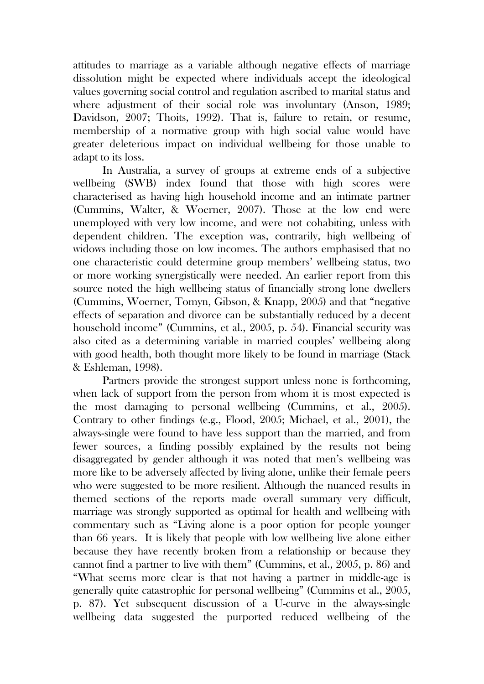attitudes to marriage as a variable although negative effects of marriage dissolution might be expected where individuals accept the ideological values governing social control and regulation ascribed to marital status and where adjustment of their social role was involuntary (Anson, 1989; Davidson, 2007; Thoits, 1992). That is, failure to retain, or resume, membership of a normative group with high social value would have greater deleterious impact on individual wellbeing for those unable to adapt to its loss.

In Australia, a survey of groups at extreme ends of a subjective wellbeing (SWB) index found that those with high scores were characterised as having high household income and an intimate partner (Cummins, Walter, & Woerner, 2007). Those at the low end were unemployed with very low income, and were not cohabiting, unless with dependent children. The exception was, contrarily, high wellbeing of widows including those on low incomes. The authors emphasised that no one characteristic could determine group members' wellbeing status, two or more working synergistically were needed. An earlier report from this source noted the high wellbeing status of financially strong lone dwellers (Cummins, Woerner, Tomyn, Gibson, & Knapp, 2005) and that "negative effects of separation and divorce can be substantially reduced by a decent household income" (Cummins, et al., 2005, p. 54). Financial security was also cited as a determining variable in married couples' wellbeing along with good health, both thought more likely to be found in marriage (Stack & Eshleman, 1998).

Partners provide the strongest support unless none is forthcoming, when lack of support from the person from whom it is most expected is the most damaging to personal wellbeing (Cummins, et al., 2005). Contrary to other findings (e.g., Flood, 2005; Michael, et al., 2001), the always-single were found to have less support than the married, and from fewer sources, a finding possibly explained by the results not being disaggregated by gender although it was noted that men's wellbeing was more like to be adversely affected by living alone, unlike their female peers who were suggested to be more resilient. Although the nuanced results in themed sections of the reports made overall summary very difficult, marriage was strongly supported as optimal for health and wellbeing with commentary such as "Living alone is a poor option for people younger than 66 years. It is likely that people with low wellbeing live alone either because they have recently broken from a relationship or because they cannot find a partner to live with them" (Cummins, et al., 2005, p. 86) and "What seems more clear is that not having a partner in middle-age is generally quite catastrophic for personal wellbeing" (Cummins et al., 2005, p. 87). Yet subsequent discussion of a U-curve in the always-single wellbeing data suggested the purported reduced wellbeing of the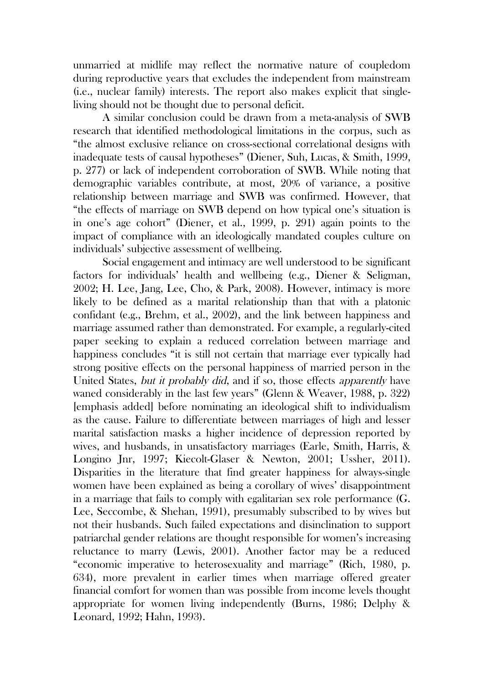unmarried at midlife may reflect the normative nature of coupledom during reproductive years that excludes the independent from mainstream (i.e., nuclear family) interests. The report also makes explicit that singleliving should not be thought due to personal deficit.

A similar conclusion could be drawn from a meta-analysis of SWB research that identified methodological limitations in the corpus, such as "the almost exclusive reliance on cross-sectional correlational designs with inadequate tests of causal hypotheses" (Diener, Suh, Lucas, & Smith, 1999, p. 277) or lack of independent corroboration of SWB. While noting that demographic variables contribute, at most, 20% of variance, a positive relationship between marriage and SWB was confirmed. However, that "the effects of marriage on SWB depend on how typical one's situation is in one's age cohort" (Diener, et al., 1999, p. 291) again points to the impact of compliance with an ideologically mandated couples culture on individuals' subjective assessment of wellbeing.

Social engagement and intimacy are well understood to be significant factors for individuals' health and wellbeing (e.g., Diener & Seligman, 2002; H. Lee, Jang, Lee, Cho, & Park, 2008). However, intimacy is more likely to be defined as a marital relationship than that with a platonic confidant (e.g., Brehm, et al., 2002), and the link between happiness and marriage assumed rather than demonstrated. For example, a regularly-cited paper seeking to explain a reduced correlation between marriage and happiness concludes "it is still not certain that marriage ever typically had strong positive effects on the personal happiness of married person in the United States, but it probably did, and if so, those effects apparently have waned considerably in the last few years" (Glenn & Weaver, 1988, p. 322) [emphasis added] before nominating an ideological shift to individualism as the cause. Failure to differentiate between marriages of high and lesser marital satisfaction masks a higher incidence of depression reported by wives, and husbands, in unsatisfactory marriages (Earle, Smith, Harris, & Longino Jnr, 1997; Kiecolt-Glaser & Newton, 2001; Ussher, 2011). Disparities in the literature that find greater happiness for always-single women have been explained as being a corollary of wives' disappointment in a marriage that fails to comply with egalitarian sex role performance (G. Lee, Seccombe, & Shehan, 1991), presumably subscribed to by wives but not their husbands. Such failed expectations and disinclination to support patriarchal gender relations are thought responsible for women's increasing reluctance to marry (Lewis, 2001). Another factor may be a reduced "economic imperative to heterosexuality and marriage" (Rich, 1980, p. 634), more prevalent in earlier times when marriage offered greater financial comfort for women than was possible from income levels thought appropriate for women living independently (Burns, 1986; Delphy & Leonard, 1992; Hahn, 1993).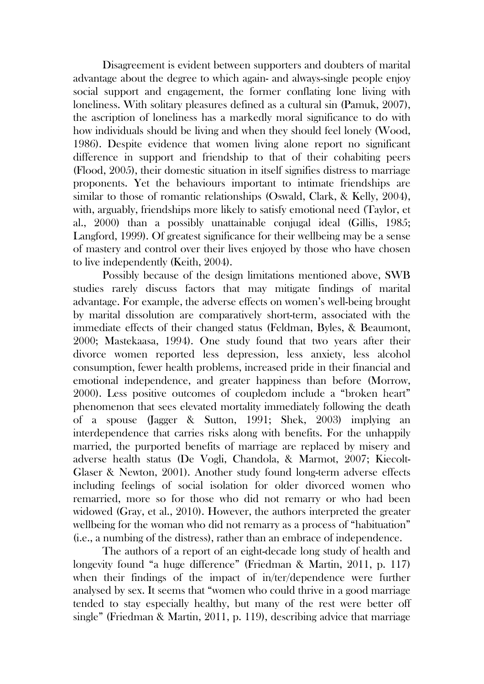Disagreement is evident between supporters and doubters of marital advantage about the degree to which again- and always-single people enjoy social support and engagement, the former conflating lone living with loneliness. With solitary pleasures defined as a cultural sin (Pamuk, 2007), the ascription of loneliness has a markedly moral significance to do with how individuals should be living and when they should feel lonely (Wood, 1986). Despite evidence that women living alone report no significant difference in support and friendship to that of their cohabiting peers (Flood, 2005), their domestic situation in itself signifies distress to marriage proponents. Yet the behaviours important to intimate friendships are similar to those of romantic relationships (Oswald, Clark, & Kelly, 2004), with, arguably, friendships more likely to satisfy emotional need (Taylor, et al., 2000) than a possibly unattainable conjugal ideal (Gillis, 1985; Langford, 1999). Of greatest significance for their wellbeing may be a sense of mastery and control over their lives enjoyed by those who have chosen to live independently (Keith, 2004).

Possibly because of the design limitations mentioned above, SWB studies rarely discuss factors that may mitigate findings of marital advantage. For example, the adverse effects on women's well-being brought by marital dissolution are comparatively short-term, associated with the immediate effects of their changed status (Feldman, Byles, & Beaumont, 2000; Mastekaasa, 1994). One study found that two years after their divorce women reported less depression, less anxiety, less alcohol consumption, fewer health problems, increased pride in their financial and emotional independence, and greater happiness than before (Morrow, 2000). Less positive outcomes of coupledom include a "broken heart" phenomenon that sees elevated mortality immediately following the death of a spouse (Jagger & Sutton, 1991; Shek, 2003) implying an interdependence that carries risks along with benefits. For the unhappily married, the purported benefits of marriage are replaced by misery and adverse health status (De Vogli, Chandola, & Marmot, 2007; Kiecolt-Glaser & Newton, 2001). Another study found long-term adverse effects including feelings of social isolation for older divorced women who remarried, more so for those who did not remarry or who had been widowed (Gray, et al., 2010). However, the authors interpreted the greater wellbeing for the woman who did not remarry as a process of "habituation" (i.e., a numbing of the distress), rather than an embrace of independence.

The authors of a report of an eight-decade long study of health and longevity found "a huge difference" (Friedman & Martin, 2011, p. 117) when their findings of the impact of in/ter/dependence were further analysed by sex. It seems that "women who could thrive in a good marriage tended to stay especially healthy, but many of the rest were better off single" (Friedman & Martin, 2011, p. 119), describing advice that marriage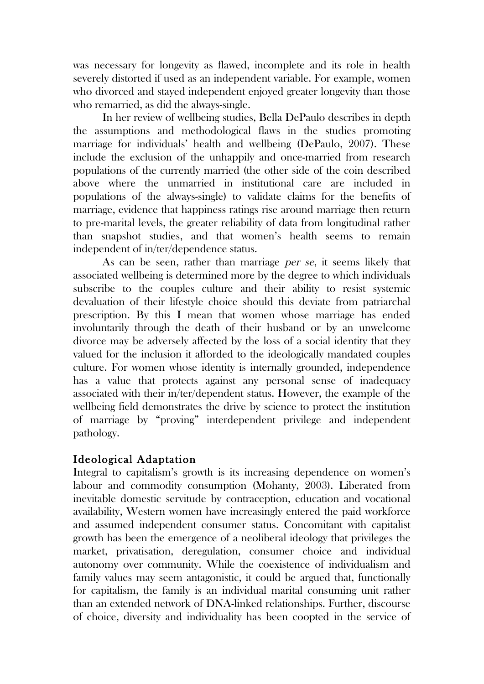was necessary for longevity as flawed, incomplete and its role in health severely distorted if used as an independent variable. For example, women who divorced and stayed independent enjoyed greater longevity than those who remarried, as did the always-single.

In her review of wellbeing studies, Bella DePaulo describes in depth the assumptions and methodological flaws in the studies promoting marriage for individuals' health and wellbeing (DePaulo, 2007). These include the exclusion of the unhappily and once-married from research populations of the currently married (the other side of the coin described above where the unmarried in institutional care are included in populations of the always-single) to validate claims for the benefits of marriage, evidence that happiness ratings rise around marriage then return to pre-marital levels, the greater reliability of data from longitudinal rather than snapshot studies, and that women's health seems to remain independent of in/ter/dependence status.

As can be seen, rather than marriage per se, it seems likely that associated wellbeing is determined more by the degree to which individuals subscribe to the couples culture and their ability to resist systemic devaluation of their lifestyle choice should this deviate from patriarchal prescription. By this I mean that women whose marriage has ended involuntarily through the death of their husband or by an unwelcome divorce may be adversely affected by the loss of a social identity that they valued for the inclusion it afforded to the ideologically mandated couples culture. For women whose identity is internally grounded, independence has a value that protects against any personal sense of inadequacy associated with their in/ter/dependent status. However, the example of the wellbeing field demonstrates the drive by science to protect the institution of marriage by "proving" interdependent privilege and independent pathology.

## Ideological Adaptation

Integral to capitalism's growth is its increasing dependence on women's labour and commodity consumption (Mohanty, 2003). Liberated from inevitable domestic servitude by contraception, education and vocational availability, Western women have increasingly entered the paid workforce and assumed independent consumer status. Concomitant with capitalist growth has been the emergence of a neoliberal ideology that privileges the market, privatisation, deregulation, consumer choice and individual autonomy over community. While the coexistence of individualism and family values may seem antagonistic, it could be argued that, functionally for capitalism, the family is an individual marital consuming unit rather than an extended network of DNA-linked relationships. Further, discourse of choice, diversity and individuality has been coopted in the service of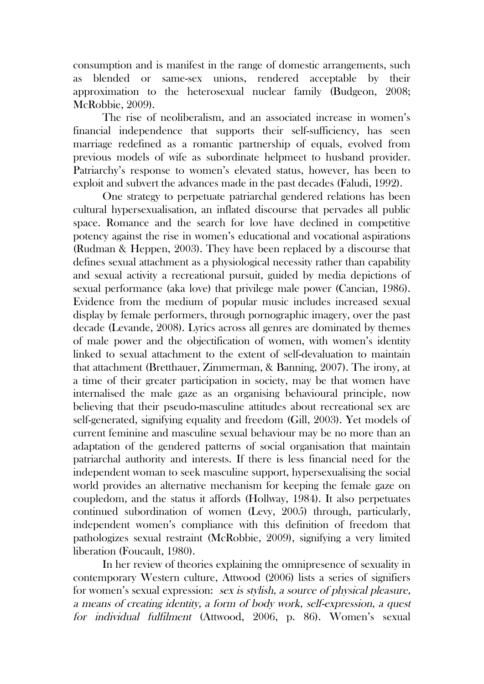consumption and is manifest in the range of domestic arrangements, such as blended or same-sex unions, rendered acceptable by their approximation to the heterosexual nuclear family (Budgeon, 2008; McRobbie, 2009).

The rise of neoliberalism, and an associated increase in women's financial independence that supports their self-sufficiency, has seen marriage redefined as a romantic partnership of equals, evolved from previous models of wife as subordinate helpmeet to husband provider. Patriarchy's response to women's elevated status, however, has been to exploit and subvert the advances made in the past decades (Faludi, 1992).

One strategy to perpetuate patriarchal gendered relations has been cultural hypersexualisation, an inflated discourse that pervades all public space. Romance and the search for love have declined in competitive potency against the rise in women's educational and vocational aspirations (Rudman & Heppen, 2003). They have been replaced by a discourse that defines sexual attachment as a physiological necessity rather than capability and sexual activity a recreational pursuit, guided by media depictions of sexual performance (aka love) that privilege male power (Cancian, 1986). Evidence from the medium of popular music includes increased sexual display by female performers, through pornographic imagery, over the past decade (Levande, 2008). Lyrics across all genres are dominated by themes of male power and the objectification of women, with women's identity linked to sexual attachment to the extent of self-devaluation to maintain that attachment (Bretthauer, Zimmerman, & Banning, 2007). The irony, at a time of their greater participation in society, may be that women have internalised the male gaze as an organising behavioural principle, now believing that their pseudo-masculine attitudes about recreational sex are self-generated, signifying equality and freedom (Gill, 2003). Yet models of current feminine and masculine sexual behaviour may be no more than an adaptation of the gendered patterns of social organisation that maintain patriarchal authority and interests. If there is less financial need for the independent woman to seek masculine support, hypersexualising the social world provides an alternative mechanism for keeping the female gaze on coupledom, and the status it affords (Hollway, 1984). It also perpetuates continued subordination of women (Levy, 2005) through, particularly, independent women's compliance with this definition of freedom that pathologizes sexual restraint (McRobbie, 2009), signifying a very limited liberation (Foucault, 1980).

In her review of theories explaining the omnipresence of sexuality in contemporary Western culture, Attwood (2006) lists a series of signifiers for women's sexual expression: sex is stylish, a source of physical pleasure, a means of creating identity, a form of body work, self-expression, a quest for individual fulfilment (Attwood, 2006, p. 86). Women's sexual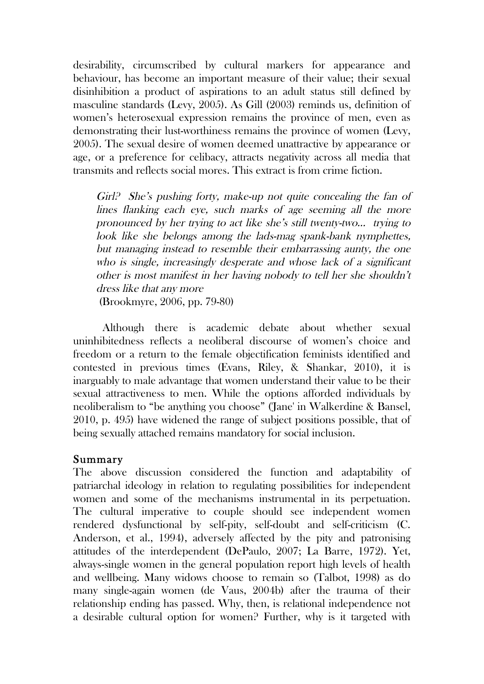desirability, circumscribed by cultural markers for appearance and behaviour, has become an important measure of their value; their sexual disinhibition a product of aspirations to an adult status still defined by masculine standards (Levy, 2005). As Gill (2003) reminds us, definition of women's heterosexual expression remains the province of men, even as demonstrating their lust-worthiness remains the province of women (Levy, 2005). The sexual desire of women deemed unattractive by appearance or age, or a preference for celibacy, attracts negativity across all media that transmits and reflects social mores. This extract is from crime fiction.

Girl? She's pushing forty, make-up not quite concealing the fan of lines flanking each eye, such marks of age seeming all the more pronounced by her trying to act like she's still twenty-two… trying to look like she belongs among the lads-mag spank-bank nymphettes, but managing instead to resemble their embarrassing aunty, the one who is single, increasingly desperate and whose lack of a significant other is most manifest in her having nobody to tell her she shouldn't dress like that any more

(Brookmyre, 2006, pp. 79-80)

Although there is academic debate about whether sexual uninhibitedness reflects a neoliberal discourse of women's choice and freedom or a return to the female objectification feminists identified and contested in previous times (Evans, Riley, & Shankar, 2010), it is inarguably to male advantage that women understand their value to be their sexual attractiveness to men. While the options afforded individuals by neoliberalism to "be anything you choose" ('Jane' in Walkerdine & Bansel, 2010, p. 495) have widened the range of subject positions possible, that of being sexually attached remains mandatory for social inclusion.

#### Summary

The above discussion considered the function and adaptability of patriarchal ideology in relation to regulating possibilities for independent women and some of the mechanisms instrumental in its perpetuation. The cultural imperative to couple should see independent women rendered dysfunctional by self-pity, self-doubt and self-criticism (C. Anderson, et al., 1994), adversely affected by the pity and patronising attitudes of the interdependent (DePaulo, 2007; La Barre, 1972). Yet, always-single women in the general population report high levels of health and wellbeing. Many widows choose to remain so (Talbot, 1998) as do many single-again women (de Vaus, 2004b) after the trauma of their relationship ending has passed. Why, then, is relational independence not a desirable cultural option for women? Further, why is it targeted with